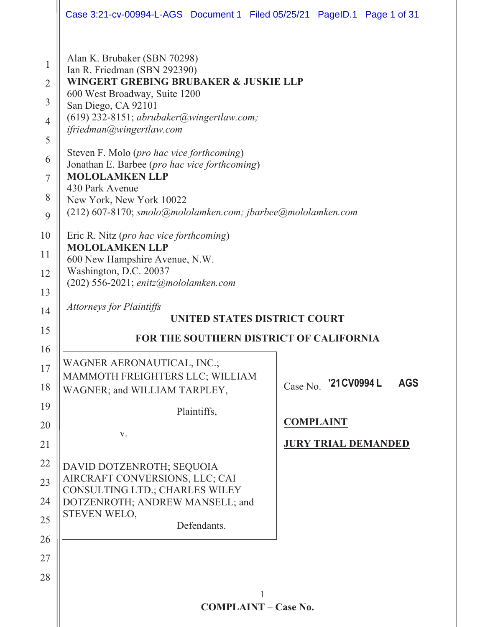|                                                                                                   | Case 3:21-cv-00994-L-AGS Document 1 Filed 05/25/21 PageID.1 Page 1 of 31                                                                                                                                                                                                                                                                                                                                                                                                                                                                                                                                                                                                                                                    |                                     |  |
|---------------------------------------------------------------------------------------------------|-----------------------------------------------------------------------------------------------------------------------------------------------------------------------------------------------------------------------------------------------------------------------------------------------------------------------------------------------------------------------------------------------------------------------------------------------------------------------------------------------------------------------------------------------------------------------------------------------------------------------------------------------------------------------------------------------------------------------------|-------------------------------------|--|
| 1<br>$\overline{2}$<br>3<br>$\overline{4}$<br>5<br>6<br>7<br>8<br>9<br>10<br>11<br>12<br>13<br>14 | Alan K. Brubaker (SBN 70298)<br>Ian R. Friedman (SBN 292390)<br>WINGERT GREBING BRUBAKER & JUSKIE LLP<br>600 West Broadway, Suite 1200<br>San Diego, CA 92101<br>$(619)$ 232-8151; abrubaker@wingertlaw.com;<br>ifriedman@wingertlaw.com<br>Steven F. Molo (pro hac vice forthcoming)<br>Jonathan E. Barbee (pro hac vice forthcoming)<br><b>MOLOLAMKEN LLP</b><br>430 Park Avenue<br>New York, New York 10022<br>(212) 607-8170; smolo@mololamken.com; jbarbee@mololamken.com<br>Eric R. Nitz (pro hac vice forthcoming)<br><b>MOLOLAMKEN LLP</b><br>600 New Hampshire Avenue, N.W.<br>Washington, D.C. 20037<br>$(202)$ 556-2021; enitz@mololamken.com<br><b>Attorneys for Plaintiffs</b><br>UNITED STATES DISTRICT COURT |                                     |  |
| 15                                                                                                | <b>FOR THE SOUTHERN DISTRICT OF CALIFORNIA</b>                                                                                                                                                                                                                                                                                                                                                                                                                                                                                                                                                                                                                                                                              |                                     |  |
| 16                                                                                                | WAGNER AERONAUTICAL, INC.;                                                                                                                                                                                                                                                                                                                                                                                                                                                                                                                                                                                                                                                                                                  |                                     |  |
| 17<br>18                                                                                          | MAMMOTH FREIGHTERS LLC; WILLIAM<br>WAGNER; and WILLIAM TARPLEY,                                                                                                                                                                                                                                                                                                                                                                                                                                                                                                                                                                                                                                                             | Case No. '21 CV0994 L<br><b>AGS</b> |  |
| 19                                                                                                | Plaintiffs,                                                                                                                                                                                                                                                                                                                                                                                                                                                                                                                                                                                                                                                                                                                 |                                     |  |
| 20                                                                                                | V.                                                                                                                                                                                                                                                                                                                                                                                                                                                                                                                                                                                                                                                                                                                          | <b>COMPLAINT</b>                    |  |
| 21                                                                                                |                                                                                                                                                                                                                                                                                                                                                                                                                                                                                                                                                                                                                                                                                                                             | <b>JURY TRIAL DEMANDED</b>          |  |
| 22                                                                                                | DAVID DOTZENROTH; SEQUOIA                                                                                                                                                                                                                                                                                                                                                                                                                                                                                                                                                                                                                                                                                                   |                                     |  |
| 23                                                                                                | AIRCRAFT CONVERSIONS, LLC; CAI<br>CONSULTING LTD.; CHARLES WILEY                                                                                                                                                                                                                                                                                                                                                                                                                                                                                                                                                                                                                                                            |                                     |  |
| 24                                                                                                | DOTZENROTH; ANDREW MANSELL; and<br>STEVEN WELO,                                                                                                                                                                                                                                                                                                                                                                                                                                                                                                                                                                                                                                                                             |                                     |  |
| 25                                                                                                | Defendants.                                                                                                                                                                                                                                                                                                                                                                                                                                                                                                                                                                                                                                                                                                                 |                                     |  |
| 26                                                                                                |                                                                                                                                                                                                                                                                                                                                                                                                                                                                                                                                                                                                                                                                                                                             |                                     |  |
| 27                                                                                                |                                                                                                                                                                                                                                                                                                                                                                                                                                                                                                                                                                                                                                                                                                                             |                                     |  |
|                                                                                                   |                                                                                                                                                                                                                                                                                                                                                                                                                                                                                                                                                                                                                                                                                                                             |                                     |  |
| 28                                                                                                |                                                                                                                                                                                                                                                                                                                                                                                                                                                                                                                                                                                                                                                                                                                             |                                     |  |
|                                                                                                   | <b>COMPLAINT - Case No.</b>                                                                                                                                                                                                                                                                                                                                                                                                                                                                                                                                                                                                                                                                                                 |                                     |  |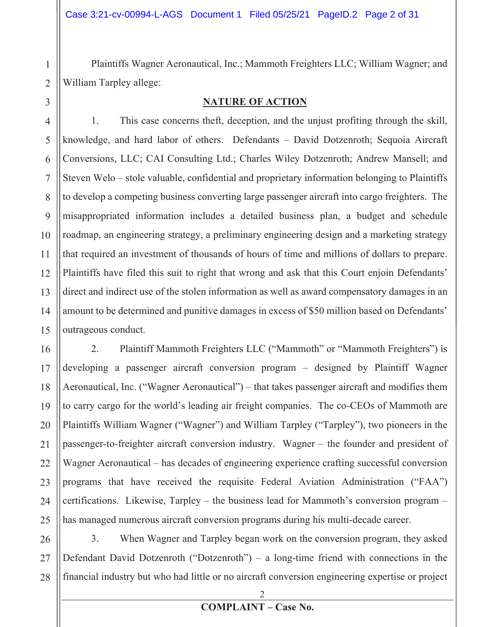Plaintiffs Wagner Aeronautical, Inc.; Mammoth Freighters LLC; William Wagner; and William Tarpley allege:

3

1

2

#### **NATURE OF ACTION**

4 5 6 7 8 9 10 11 12 13 14 15 1. This case concerns theft, deception, and the unjust profiting through the skill, knowledge, and hard labor of others. Defendants – David Dotzenroth; Sequoia Aircraft Conversions, LLC; CAI Consulting Ltd.; Charles Wiley Dotzenroth; Andrew Mansell; and Steven Welo – stole valuable, confidential and proprietary information belonging to Plaintiffs to develop a competing business converting large passenger aircraft into cargo freighters. The misappropriated information includes a detailed business plan, a budget and schedule roadmap, an engineering strategy, a preliminary engineering design and a marketing strategy that required an investment of thousands of hours of time and millions of dollars to prepare. Plaintiffs have filed this suit to right that wrong and ask that this Court enjoin Defendants' direct and indirect use of the stolen information as well as award compensatory damages in an amount to be determined and punitive damages in excess of \$50 million based on Defendants' outrageous conduct.

16 17 18 19 20 21 22 23 24 25 2. Plaintiff Mammoth Freighters LLC ("Mammoth" or "Mammoth Freighters") is developing a passenger aircraft conversion program – designed by Plaintiff Wagner Aeronautical, Inc. ("Wagner Aeronautical") – that takes passenger aircraft and modifies them to carry cargo for the world's leading air freight companies. The co-CEOs of Mammoth are Plaintiffs William Wagner ("Wagner") and William Tarpley ("Tarpley"), two pioneers in the passenger-to-freighter aircraft conversion industry. Wagner – the founder and president of Wagner Aeronautical – has decades of engineering experience crafting successful conversion programs that have received the requisite Federal Aviation Administration ("FAA") certifications. Likewise, Tarpley – the business lead for Mammoth's conversion program – has managed numerous aircraft conversion programs during his multi-decade career.

26 27 28 3. When Wagner and Tarpley began work on the conversion program, they asked Defendant David Dotzenroth ("Dotzenroth") – a long-time friend with connections in the financial industry but who had little or no aircraft conversion engineering expertise or project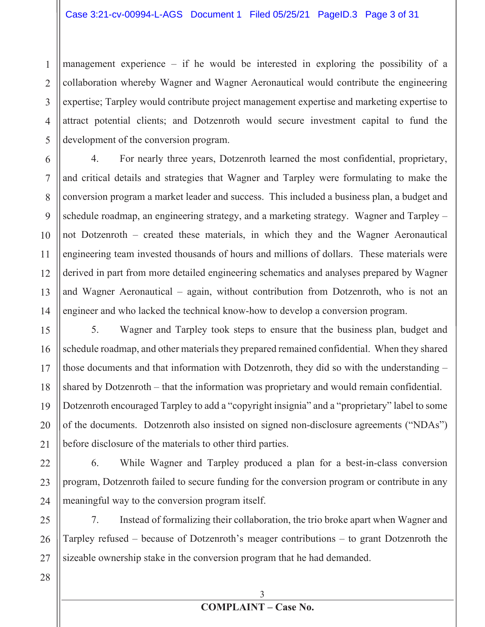1 2 3 4 5 management experience – if he would be interested in exploring the possibility of a collaboration whereby Wagner and Wagner Aeronautical would contribute the engineering expertise; Tarpley would contribute project management expertise and marketing expertise to attract potential clients; and Dotzenroth would secure investment capital to fund the development of the conversion program.

6 7 8 9 10 11 12 13 14 4. For nearly three years, Dotzenroth learned the most confidential, proprietary, and critical details and strategies that Wagner and Tarpley were formulating to make the conversion program a market leader and success. This included a business plan, a budget and schedule roadmap, an engineering strategy, and a marketing strategy. Wagner and Tarpley – not Dotzenroth – created these materials, in which they and the Wagner Aeronautical engineering team invested thousands of hours and millions of dollars. These materials were derived in part from more detailed engineering schematics and analyses prepared by Wagner and Wagner Aeronautical – again, without contribution from Dotzenroth, who is not an engineer and who lacked the technical know-how to develop a conversion program.

15 16 17 18 19 20 21 5. Wagner and Tarpley took steps to ensure that the business plan, budget and schedule roadmap, and other materials they prepared remained confidential. When they shared those documents and that information with Dotzenroth, they did so with the understanding – shared by Dotzenroth – that the information was proprietary and would remain confidential. Dotzenroth encouraged Tarpley to add a "copyright insignia" and a "proprietary" label to some of the documents. Dotzenroth also insisted on signed non-disclosure agreements ("NDAs") before disclosure of the materials to other third parties.

6. While Wagner and Tarpley produced a plan for a best-in-class conversion program, Dotzenroth failed to secure funding for the conversion program or contribute in any meaningful way to the conversion program itself.

25 26 27 7. Instead of formalizing their collaboration, the trio broke apart when Wagner and Tarpley refused – because of Dotzenroth's meager contributions – to grant Dotzenroth the sizeable ownership stake in the conversion program that he had demanded.

28

22

23

24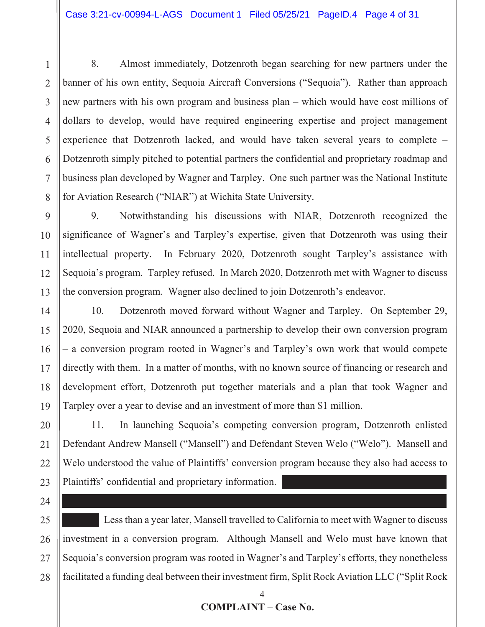3 4 6 7 8 8. Almost immediately, Dotzenroth began searching for new partners under the banner of his own entity, Sequoia Aircraft Conversions ("Sequoia"). Rather than approach new partners with his own program and business plan – which would have cost millions of dollars to develop, would have required engineering expertise and project management experience that Dotzenroth lacked, and would have taken several years to complete – Dotzenroth simply pitched to potential partners the confidential and proprietary roadmap and business plan developed by Wagner and Tarpley. One such partner was the National Institute for Aviation Research ("NIAR") at Wichita State University.

 $\mathbf Q$ 10 11 12 13 9. Notwithstanding his discussions with NIAR, Dotzenroth recognized the significance of Wagner's and Tarpley's expertise, given that Dotzenroth was using their intellectual property. In February 2020, Dotzenroth sought Tarpley's assistance with Sequoia's program. Tarpley refused. In March 2020, Dotzenroth met with Wagner to discuss the conversion program. Wagner also declined to join Dotzenroth's endeavor.

14 15 16 17 18 19 10. Dotzenroth moved forward without Wagner and Tarpley. On September 29, 2020, Sequoia and NIAR announced a partnership to develop their own conversion program – a conversion program rooted in Wagner's and Tarpley's own work that would compete directly with them. In a matter of months, with no known source of financing or research and development effort, Dotzenroth put together materials and a plan that took Wagner and Tarpley over a year to devise and an investment of more than \$1 million.

20 21 22 23 11. In launching Sequoia's competing conversion program, Dotzenroth enlisted Defendant Andrew Mansell ("Mansell") and Defendant Steven Welo ("Welo"). Mansell and Welo understood the value of Plaintiffs' conversion program because they also had access to Plaintiffs' confidential and proprietary information.

24

1

2

5

25 26 27 28 Less than a year later, Mansell travelled to California to meet with Wagner to discuss investment in a conversion program. Although Mansell and Welo must have known that Sequoia's conversion program was rooted in Wagner's and Tarpley's efforts, they nonetheless facilitated a funding deal between their investment firm, Split Rock Aviation LLC ("Split Rock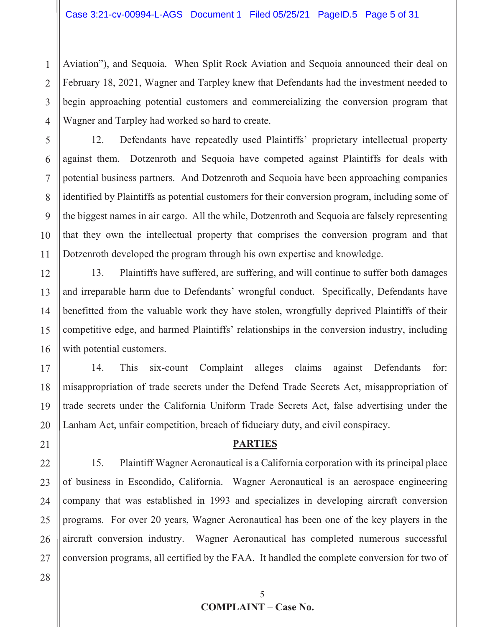Aviation"), and Sequoia. When Split Rock Aviation and Sequoia announced their deal on February 18, 2021, Wagner and Tarpley knew that Defendants had the investment needed to begin approaching potential customers and commercializing the conversion program that Wagner and Tarpley had worked so hard to create.

12. Defendants have repeatedly used Plaintiffs' proprietary intellectual property against them. Dotzenroth and Sequoia have competed against Plaintiffs for deals with potential business partners. And Dotzenroth and Sequoia have been approaching companies identified by Plaintiffs as potential customers for their conversion program, including some of the biggest names in air cargo. All the while, Dotzenroth and Sequoia are falsely representing that they own the intellectual property that comprises the conversion program and that Dotzenroth developed the program through his own expertise and knowledge.

12 13 14 15 16 13. Plaintiffs have suffered, are suffering, and will continue to suffer both damages and irreparable harm due to Defendants' wrongful conduct. Specifically, Defendants have benefitted from the valuable work they have stolen, wrongfully deprived Plaintiffs of their competitive edge, and harmed Plaintiffs' relationships in the conversion industry, including with potential customers.

17 18 19 20 14. This six-count Complaint alleges claims against Defendants for: misappropriation of trade secrets under the Defend Trade Secrets Act, misappropriation of trade secrets under the California Uniform Trade Secrets Act, false advertising under the Lanham Act, unfair competition, breach of fiduciary duty, and civil conspiracy.

#### **PARTIES**

22 23 24 25 26 27 15. Plaintiff Wagner Aeronautical is a California corporation with its principal place of business in Escondido, California. Wagner Aeronautical is an aerospace engineering company that was established in 1993 and specializes in developing aircraft conversion programs. For over 20 years, Wagner Aeronautical has been one of the key players in the aircraft conversion industry. Wagner Aeronautical has completed numerous successful conversion programs, all certified by the FAA. It handled the complete conversion for two of

28

21

1

2

3

4

5

6

7

8

9

10

11

# **COMPLAINT – Case No.**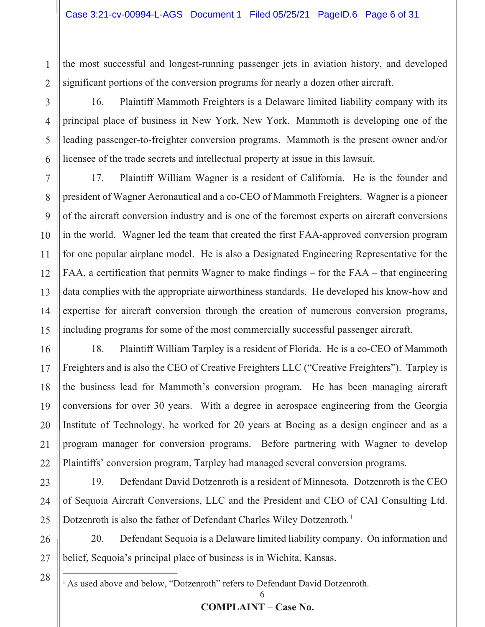the most successful and longest-running passenger jets in aviation history, and developed significant portions of the conversion programs for nearly a dozen other aircraft.

4 16. Plaintiff Mammoth Freighters is a Delaware limited liability company with its principal place of business in New York, New York. Mammoth is developing one of the leading passenger-to-freighter conversion programs. Mammoth is the present owner and/or licensee of the trade secrets and intellectual property at issue in this lawsuit.

7 8 9 10 17. Plaintiff William Wagner is a resident of California. He is the founder and president of Wagner Aeronautical and a co-CEO of Mammoth Freighters. Wagner is a pioneer of the aircraft conversion industry and is one of the foremost experts on aircraft conversions in the world. Wagner led the team that created the first FAA-approved conversion program for one popular airplane model. He is also a Designated Engineering Representative for the FAA, a certification that permits Wagner to make findings – for the FAA – that engineering data complies with the appropriate airworthiness standards. He developed his know-how and expertise for aircraft conversion through the creation of numerous conversion programs, including programs for some of the most commercially successful passenger aircraft.

18. Plaintiff William Tarpley is a resident of Florida. He is a co-CEO of Mammoth Freighters and is also the CEO of Creative Freighters LLC ("Creative Freighters"). Tarpley is the business lead for Mammoth's conversion program. He has been managing aircraft conversions for over 30 years. With a degree in aerospace engineering from the Georgia Institute of Technology, he worked for 20 years at Boeing as a design engineer and as a program manager for conversion programs. Before partnering with Wagner to develop Plaintiffs' conversion program, Tarpley had managed several conversion programs.

19. Defendant David Dotzenroth is a resident of Minnesota. Dotzenroth is the CEO of Sequoia Aircraft Conversions, LLC and the President and CEO of CAI Consulting Ltd. Dotzenroth is also the father of Defendant Charles Wiley Dotzenroth.<sup>1</sup>

26 27 20. Defendant Sequoia is a Delaware limited liability company. On information and belief, Sequoia's principal place of business is in Wichita, Kansas.

<sup>1</sup> As used above and below, "Dotzenroth" refers to Defendant David Dotzenroth.

28

1

2

3

5

6

**COMPLAINT – Case No.**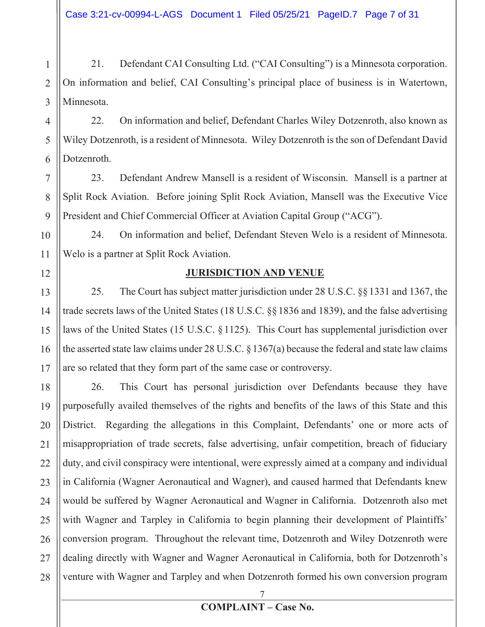1 2 3 21. Defendant CAI Consulting Ltd. ("CAI Consulting") is a Minnesota corporation. On information and belief, CAI Consulting's principal place of business is in Watertown, Minnesota.

4 5 6 22. On information and belief, Defendant Charles Wiley Dotzenroth, also known as Wiley Dotzenroth, is a resident of Minnesota. Wiley Dotzenroth is the son of Defendant David Dotzenroth.

7 8 9 23. Defendant Andrew Mansell is a resident of Wisconsin. Mansell is a partner at Split Rock Aviation. Before joining Split Rock Aviation, Mansell was the Executive Vice President and Chief Commercial Officer at Aviation Capital Group ("ACG").

24. On information and belief, Defendant Steven Welo is a resident of Minnesota. Welo is a partner at Split Rock Aviation.

#### **JURISDICTION AND VENUE**

10

11

12

13 14 15 16 17 25. The Court has subject matter jurisdiction under 28 U.S.C. §§1331 and 1367, the trade secrets laws of the United States (18 U.S.C. §§1836 and 1839), and the false advertising laws of the United States (15 U.S.C. §1125). This Court has supplemental jurisdiction over the asserted state law claims under 28 U.S.C. § 1367(a) because the federal and state law claims are so related that they form part of the same case or controversy.

18 19 20 21 22 23 24 25 26 27 28 26. This Court has personal jurisdiction over Defendants because they have purposefully availed themselves of the rights and benefits of the laws of this State and this District. Regarding the allegations in this Complaint, Defendants' one or more acts of misappropriation of trade secrets, false advertising, unfair competition, breach of fiduciary duty, and civil conspiracy were intentional, were expressly aimed at a company and individual in California (Wagner Aeronautical and Wagner), and caused harmed that Defendants knew would be suffered by Wagner Aeronautical and Wagner in California. Dotzenroth also met with Wagner and Tarpley in California to begin planning their development of Plaintiffs' conversion program. Throughout the relevant time, Dotzenroth and Wiley Dotzenroth were dealing directly with Wagner and Wagner Aeronautical in California, both for Dotzenroth's venture with Wagner and Tarpley and when Dotzenroth formed his own conversion program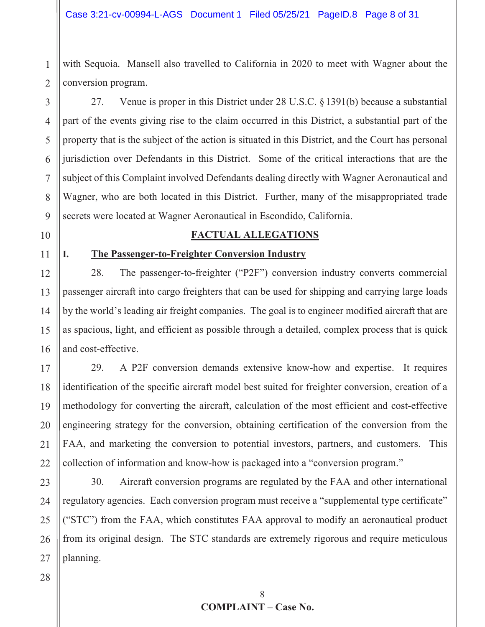with Sequoia. Mansell also travelled to California in 2020 to meet with Wagner about the conversion program.

3 4 5 6 7 8 9 27. Venue is proper in this District under 28 U.S.C. §1391(b) because a substantial part of the events giving rise to the claim occurred in this District, a substantial part of the property that is the subject of the action is situated in this District, and the Court has personal jurisdiction over Defendants in this District. Some of the critical interactions that are the subject of this Complaint involved Defendants dealing directly with Wagner Aeronautical and Wagner, who are both located in this District. Further, many of the misappropriated trade secrets were located at Wagner Aeronautical in Escondido, California.

### 10

11

1

2

#### **FACTUAL ALLEGATIONS**

### **I. The Passenger-to-Freighter Conversion Industry**

12 13 14 15 16 28. The passenger-to-freighter ("P2F") conversion industry converts commercial passenger aircraft into cargo freighters that can be used for shipping and carrying large loads by the world's leading air freight companies. The goal is to engineer modified aircraft that are as spacious, light, and efficient as possible through a detailed, complex process that is quick and cost-effective.

17 18 19 20 21 22 29. A P2F conversion demands extensive know-how and expertise. It requires identification of the specific aircraft model best suited for freighter conversion, creation of a methodology for converting the aircraft, calculation of the most efficient and cost-effective engineering strategy for the conversion, obtaining certification of the conversion from the FAA, and marketing the conversion to potential investors, partners, and customers. This collection of information and know-how is packaged into a "conversion program."

23 24 25 26 27 30. Aircraft conversion programs are regulated by the FAA and other international regulatory agencies. Each conversion program must receive a "supplemental type certificate" ("STC") from the FAA, which constitutes FAA approval to modify an aeronautical product from its original design. The STC standards are extremely rigorous and require meticulous planning.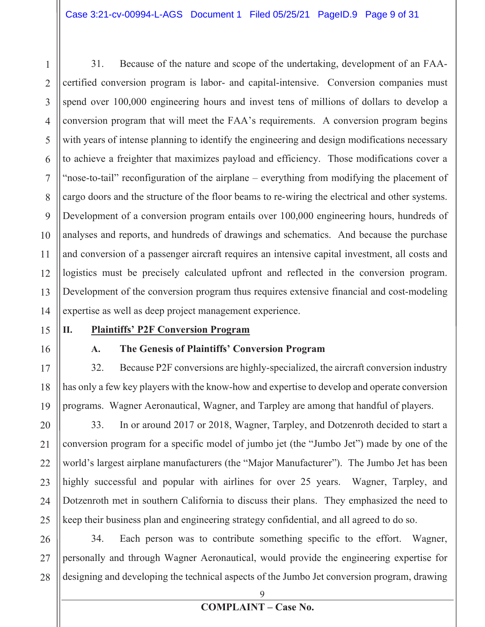1 2 3 4 5 6 7 8 9 10 11 12 13 14 31. Because of the nature and scope of the undertaking, development of an FAAcertified conversion program is labor- and capital-intensive. Conversion companies must spend over 100,000 engineering hours and invest tens of millions of dollars to develop a conversion program that will meet the FAA's requirements. A conversion program begins with years of intense planning to identify the engineering and design modifications necessary to achieve a freighter that maximizes payload and efficiency. Those modifications cover a "nose-to-tail" reconfiguration of the airplane – everything from modifying the placement of cargo doors and the structure of the floor beams to re-wiring the electrical and other systems. Development of a conversion program entails over 100,000 engineering hours, hundreds of analyses and reports, and hundreds of drawings and schematics. And because the purchase and conversion of a passenger aircraft requires an intensive capital investment, all costs and logistics must be precisely calculated upfront and reflected in the conversion program. Development of the conversion program thus requires extensive financial and cost-modeling expertise as well as deep project management experience.

# 15

16

#### **II. Plaintiffs' P2F Conversion Program**

### **A. The Genesis of Plaintiffs' Conversion Program**

17 18 19 32. Because P2F conversions are highly-specialized, the aircraft conversion industry has only a few key players with the know-how and expertise to develop and operate conversion programs. Wagner Aeronautical, Wagner, and Tarpley are among that handful of players.

20 21 22 23 24 25 33. In or around 2017 or 2018, Wagner, Tarpley, and Dotzenroth decided to start a conversion program for a specific model of jumbo jet (the "Jumbo Jet") made by one of the world's largest airplane manufacturers (the "Major Manufacturer"). The Jumbo Jet has been highly successful and popular with airlines for over 25 years. Wagner, Tarpley, and Dotzenroth met in southern California to discuss their plans. They emphasized the need to keep their business plan and engineering strategy confidential, and all agreed to do so.

26 27 28 34. Each person was to contribute something specific to the effort. Wagner, personally and through Wagner Aeronautical, would provide the engineering expertise for designing and developing the technical aspects of the Jumbo Jet conversion program, drawing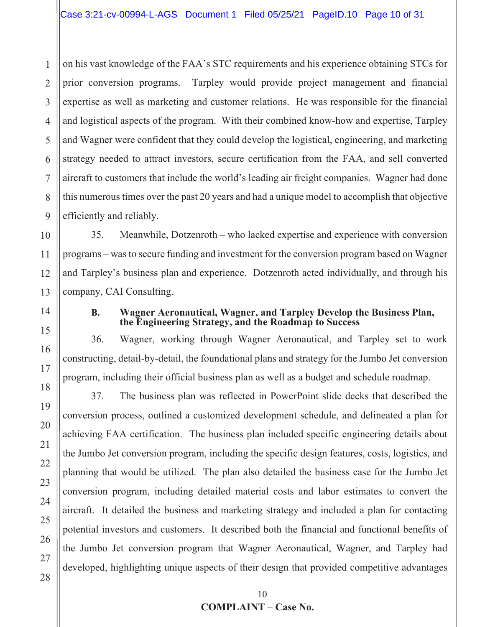1 2 3 4 5 6 7 8 9 on his vast knowledge of the FAA's STC requirements and his experience obtaining STCs for prior conversion programs. Tarpley would provide project management and financial expertise as well as marketing and customer relations. He was responsible for the financial and logistical aspects of the program. With their combined know-how and expertise, Tarpley and Wagner were confident that they could develop the logistical, engineering, and marketing strategy needed to attract investors, secure certification from the FAA, and sell converted aircraft to customers that include the world's leading air freight companies. Wagner had done this numerous times over the past 20 years and had a unique model to accomplish that objective efficiently and reliably.

10 12 13 35. Meanwhile, Dotzenroth – who lacked expertise and experience with conversion programs – was to secure funding and investment for the conversion program based on Wagner and Tarpley's business plan and experience. Dotzenroth acted individually, and through his company, CAI Consulting.

11

14

15

16

17

18

19

20

#### **B. Wagner Aeronautical, Wagner, and Tarpley Develop the Business Plan, the Engineering Strategy, and the Roadmap to Success**

36. Wagner, working through Wagner Aeronautical, and Tarpley set to work constructing, detail-by-detail, the foundational plans and strategy for the Jumbo Jet conversion program, including their official business plan as well as a budget and schedule roadmap.

37. The business plan was reflected in PowerPoint slide decks that described the conversion process, outlined a customized development schedule, and delineated a plan for achieving FAA certification. The business plan included specific engineering details about the Jumbo Jet conversion program, including the specific design features, costs, logistics, and planning that would be utilized. The plan also detailed the business case for the Jumbo Jet conversion program, including detailed material costs and labor estimates to convert the aircraft. It detailed the business and marketing strategy and included a plan for contacting potential investors and customers. It described both the financial and functional benefits of the Jumbo Jet conversion program that Wagner Aeronautical, Wagner, and Tarpley had developed, highlighting unique aspects of their design that provided competitive advantages

10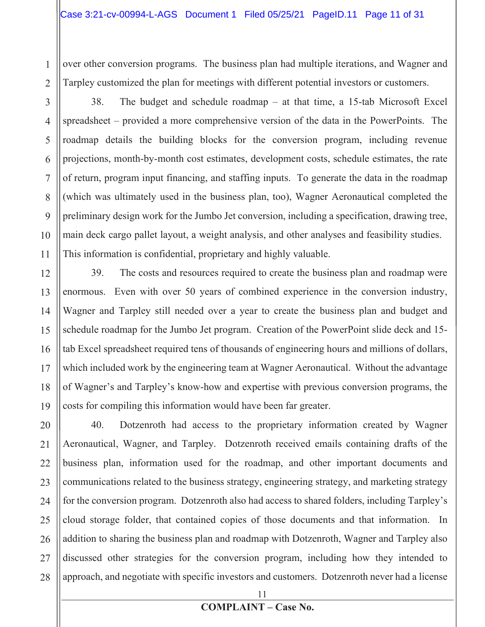over other conversion programs. The business plan had multiple iterations, and Wagner and Tarpley customized the plan for meetings with different potential investors or customers.

1

2

3

4

5

6

7

8

9

10

11

38. The budget and schedule roadmap – at that time, a 15-tab Microsoft Excel spreadsheet – provided a more comprehensive version of the data in the PowerPoints. The roadmap details the building blocks for the conversion program, including revenue projections, month-by-month cost estimates, development costs, schedule estimates, the rate of return, program input financing, and staffing inputs. To generate the data in the roadmap (which was ultimately used in the business plan, too), Wagner Aeronautical completed the preliminary design work for the Jumbo Jet conversion, including a specification, drawing tree, main deck cargo pallet layout, a weight analysis, and other analyses and feasibility studies. This information is confidential, proprietary and highly valuable.

12 13 14 15 16 17 18 19 39. The costs and resources required to create the business plan and roadmap were enormous. Even with over 50 years of combined experience in the conversion industry, Wagner and Tarpley still needed over a year to create the business plan and budget and schedule roadmap for the Jumbo Jet program. Creation of the PowerPoint slide deck and 15 tab Excel spreadsheet required tens of thousands of engineering hours and millions of dollars, which included work by the engineering team at Wagner Aeronautical. Without the advantage of Wagner's and Tarpley's know-how and expertise with previous conversion programs, the costs for compiling this information would have been far greater.

20 21 22 23 24 25 26 27 28 40. Dotzenroth had access to the proprietary information created by Wagner Aeronautical, Wagner, and Tarpley. Dotzenroth received emails containing drafts of the business plan, information used for the roadmap, and other important documents and communications related to the business strategy, engineering strategy, and marketing strategy for the conversion program. Dotzenroth also had access to shared folders, including Tarpley's cloud storage folder, that contained copies of those documents and that information. In addition to sharing the business plan and roadmap with Dotzenroth, Wagner and Tarpley also discussed other strategies for the conversion program, including how they intended to approach, and negotiate with specific investors and customers. Dotzenroth never had a license

#### **COMPLAINT – Case No.**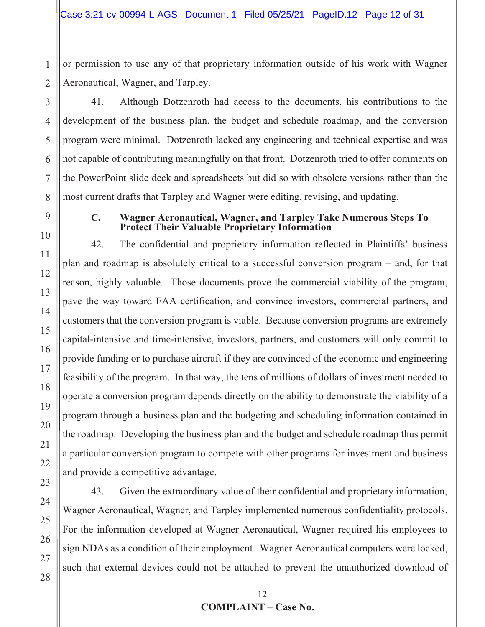or permission to use any of that proprietary information outside of his work with Wagner Aeronautical, Wagner, and Tarpley.

41. Although Dotzenroth had access to the documents, his contributions to the development of the business plan, the budget and schedule roadmap, and the conversion program were minimal. Dotzenroth lacked any engineering and technical expertise and was not capable of contributing meaningfully on that front. Dotzenroth tried to offer comments on the PowerPoint slide deck and spreadsheets but did so with obsolete versions rather than the most current drafts that Tarpley and Wagner were editing, revising, and updating.

1

#### **C. Wagner Aeronautical, Wagner, and Tarpley Take Numerous Steps To Protect Their Valuable Proprietary Information**

42. The confidential and proprietary information reflected in Plaintiffs' business plan and roadmap is absolutely critical to a successful conversion program – and, for that reason, highly valuable. Those documents prove the commercial viability of the program, pave the way toward FAA certification, and convince investors, commercial partners, and customers that the conversion program is viable. Because conversion programs are extremely capital-intensive and time-intensive, investors, partners, and customers will only commit to provide funding or to purchase aircraft if they are convinced of the economic and engineering feasibility of the program. In that way, the tens of millions of dollars of investment needed to operate a conversion program depends directly on the ability to demonstrate the viability of a program through a business plan and the budgeting and scheduling information contained in the roadmap. Developing the business plan and the budget and schedule roadmap thus permit a particular conversion program to compete with other programs for investment and business and provide a competitive advantage.

43. Given the extraordinary value of their confidential and proprietary information, Wagner Aeronautical, Wagner, and Tarpley implemented numerous confidentiality protocols. For the information developed at Wagner Aeronautical, Wagner required his employees to sign NDAs as a condition of their employment. Wagner Aeronautical computers were locked, such that external devices could not be attached to prevent the unauthorized download of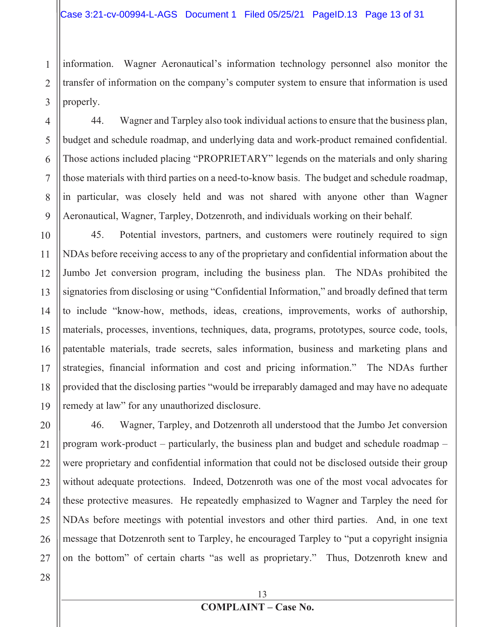1 2 3 information. Wagner Aeronautical's information technology personnel also monitor the transfer of information on the company's computer system to ensure that information is used properly.

4 5 6 7 8 9 44. Wagner and Tarpley also took individual actions to ensure that the business plan, budget and schedule roadmap, and underlying data and work-product remained confidential. Those actions included placing "PROPRIETARY" legends on the materials and only sharing those materials with third parties on a need-to-know basis. The budget and schedule roadmap, in particular, was closely held and was not shared with anyone other than Wagner Aeronautical, Wagner, Tarpley, Dotzenroth, and individuals working on their behalf.

10 11 12 13 14 15 16 17 18 19 45. Potential investors, partners, and customers were routinely required to sign NDAs before receiving access to any of the proprietary and confidential information about the Jumbo Jet conversion program, including the business plan. The NDAs prohibited the signatories from disclosing or using "Confidential Information," and broadly defined that term to include "know-how, methods, ideas, creations, improvements, works of authorship, materials, processes, inventions, techniques, data, programs, prototypes, source code, tools, patentable materials, trade secrets, sales information, business and marketing plans and strategies, financial information and cost and pricing information." The NDAs further provided that the disclosing parties "would be irreparably damaged and may have no adequate remedy at law" for any unauthorized disclosure.

20 21 22 23 24 25 26 27 46. Wagner, Tarpley, and Dotzenroth all understood that the Jumbo Jet conversion program work-product – particularly, the business plan and budget and schedule roadmap – were proprietary and confidential information that could not be disclosed outside their group without adequate protections. Indeed, Dotzenroth was one of the most vocal advocates for these protective measures. He repeatedly emphasized to Wagner and Tarpley the need for NDAs before meetings with potential investors and other third parties. And, in one text message that Dotzenroth sent to Tarpley, he encouraged Tarpley to "put a copyright insignia on the bottom" of certain charts "as well as proprietary." Thus, Dotzenroth knew and

28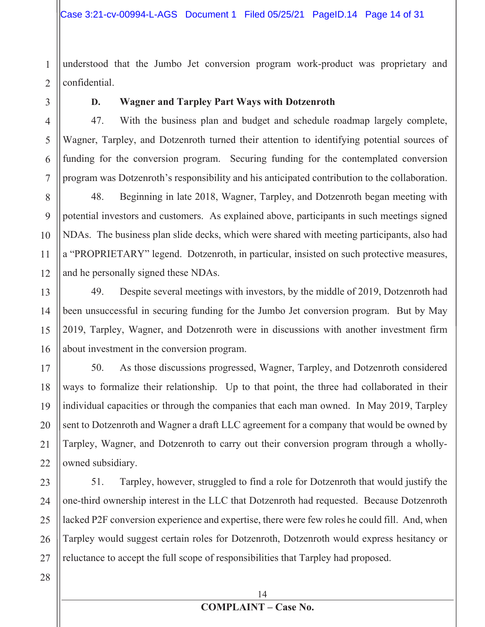understood that the Jumbo Jet conversion program work-product was proprietary and confidential.

1

2

3

4

5

6

7

11

#### **D. Wagner and Tarpley Part Ways with Dotzenroth**

47. With the business plan and budget and schedule roadmap largely complete, Wagner, Tarpley, and Dotzenroth turned their attention to identifying potential sources of funding for the conversion program. Securing funding for the contemplated conversion program was Dotzenroth's responsibility and his anticipated contribution to the collaboration.

8 9 10 12 48. Beginning in late 2018, Wagner, Tarpley, and Dotzenroth began meeting with potential investors and customers. As explained above, participants in such meetings signed NDAs. The business plan slide decks, which were shared with meeting participants, also had a "PROPRIETARY" legend. Dotzenroth, in particular, insisted on such protective measures, and he personally signed these NDAs.

13 14 15 16 49. Despite several meetings with investors, by the middle of 2019, Dotzenroth had been unsuccessful in securing funding for the Jumbo Jet conversion program. But by May 2019, Tarpley, Wagner, and Dotzenroth were in discussions with another investment firm about investment in the conversion program.

17 18 19 20 21 22 50. As those discussions progressed, Wagner, Tarpley, and Dotzenroth considered ways to formalize their relationship. Up to that point, the three had collaborated in their individual capacities or through the companies that each man owned. In May 2019, Tarpley sent to Dotzenroth and Wagner a draft LLC agreement for a company that would be owned by Tarpley, Wagner, and Dotzenroth to carry out their conversion program through a whollyowned subsidiary.

23 24 25 26 27 51. Tarpley, however, struggled to find a role for Dotzenroth that would justify the one-third ownership interest in the LLC that Dotzenroth had requested. Because Dotzenroth lacked P2F conversion experience and expertise, there were few roles he could fill. And, when Tarpley would suggest certain roles for Dotzenroth, Dotzenroth would express hesitancy or reluctance to accept the full scope of responsibilities that Tarpley had proposed.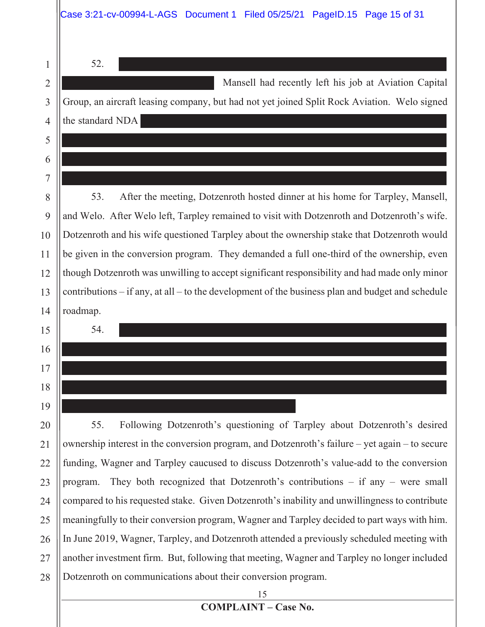|                | Case 3:21-cv-00994-L-AGS Document 1 Filed 05/25/21 PageID.15 Page 15 of 31                           |  |  |
|----------------|------------------------------------------------------------------------------------------------------|--|--|
| 1              | 52.                                                                                                  |  |  |
| $\overline{2}$ | Mansell had recently left his job at Aviation Capital                                                |  |  |
| 3              | Group, an aircraft leasing company, but had not yet joined Split Rock Aviation. Welo signed          |  |  |
| $\overline{4}$ | the standard NDA                                                                                     |  |  |
| 5              |                                                                                                      |  |  |
| 6              |                                                                                                      |  |  |
| 7              |                                                                                                      |  |  |
| 8              | After the meeting, Dotzenroth hosted dinner at his home for Tarpley, Mansell,<br>53.                 |  |  |
| 9              | and Welo. After Welo left, Tarpley remained to visit with Dotzenroth and Dotzenroth's wife.          |  |  |
| 10             | Dotzenroth and his wife questioned Tarpley about the ownership stake that Dotzenroth would           |  |  |
| 11             | be given in the conversion program. They demanded a full one-third of the ownership, even            |  |  |
| 12             | though Dotzenroth was unwilling to accept significant responsibility and had made only minor         |  |  |
| 13             | contributions $-$ if any, at all $-$ to the development of the business plan and budget and schedule |  |  |
| 14             | roadmap.                                                                                             |  |  |
| 15             | 54.                                                                                                  |  |  |
| 16             |                                                                                                      |  |  |
| 17             |                                                                                                      |  |  |
| 18             |                                                                                                      |  |  |
| 19             |                                                                                                      |  |  |
| 20             | Following Dotzenroth's questioning of Tarpley about Dotzenroth's desired<br>55.                      |  |  |
| 21             | ownership interest in the conversion program, and Dotzenroth's failure – yet again – to secure       |  |  |
| 22             | funding, Wagner and Tarpley caucused to discuss Dotzenroth's value-add to the conversion             |  |  |
| 23             | They both recognized that Dotzenroth's contributions $-$ if any $-$ were small<br>program.           |  |  |
| 24             | compared to his requested stake. Given Dotzenroth's inability and unwillingness to contribute        |  |  |
| 25             | meaningfully to their conversion program, Wagner and Tarpley decided to part ways with him.          |  |  |
| 26             | In June 2019, Wagner, Tarpley, and Dotzenroth attended a previously scheduled meeting with           |  |  |
| 27             | another investment firm. But, following that meeting, Wagner and Tarpley no longer included          |  |  |
| 28             | Dotzenroth on communications about their conversion program.                                         |  |  |
|                | 15                                                                                                   |  |  |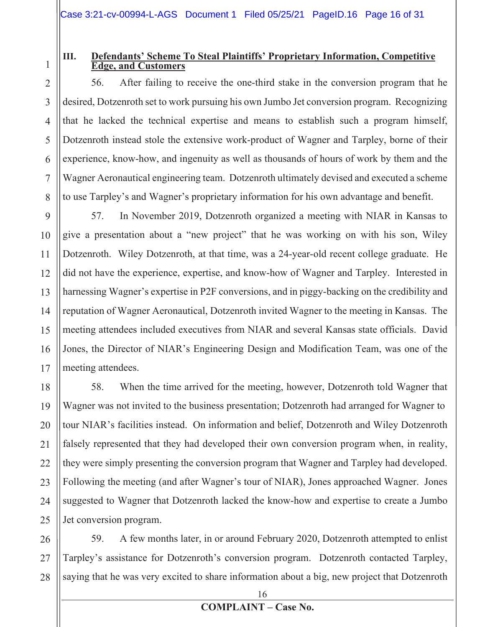# 1

2

3

### **III. Defendants' Scheme To Steal Plaintiffs' Proprietary Information, Competitive Edge, and Customers**

56. After failing to receive the one-third stake in the conversion program that he desired, Dotzenroth set to work pursuing his own Jumbo Jet conversion program. Recognizing that he lacked the technical expertise and means to establish such a program himself, Dotzenroth instead stole the extensive work-product of Wagner and Tarpley, borne of their experience, know-how, and ingenuity as well as thousands of hours of work by them and the Wagner Aeronautical engineering team. Dotzenroth ultimately devised and executed a scheme to use Tarpley's and Wagner's proprietary information for his own advantage and benefit.

57. In November 2019, Dotzenroth organized a meeting with NIAR in Kansas to give a presentation about a "new project" that he was working on with his son, Wiley Dotzenroth. Wiley Dotzenroth, at that time, was a 24-year-old recent college graduate. He did not have the experience, expertise, and know-how of Wagner and Tarpley. Interested in harnessing Wagner's expertise in P2F conversions, and in piggy-backing on the credibility and reputation of Wagner Aeronautical, Dotzenroth invited Wagner to the meeting in Kansas. The meeting attendees included executives from NIAR and several Kansas state officials. David Jones, the Director of NIAR's Engineering Design and Modification Team, was one of the meeting attendees.

58. When the time arrived for the meeting, however, Dotzenroth told Wagner that Wagner was not invited to the business presentation; Dotzenroth had arranged for Wagner to tour NIAR's facilities instead. On information and belief, Dotzenroth and Wiley Dotzenroth falsely represented that they had developed their own conversion program when, in reality, they were simply presenting the conversion program that Wagner and Tarpley had developed. Following the meeting (and after Wagner's tour of NIAR), Jones approached Wagner. Jones suggested to Wagner that Dotzenroth lacked the know-how and expertise to create a Jumbo Jet conversion program.

28 59. A few months later, in or around February 2020, Dotzenroth attempted to enlist Tarpley's assistance for Dotzenroth's conversion program. Dotzenroth contacted Tarpley, saying that he was very excited to share information about a big, new project that Dotzenroth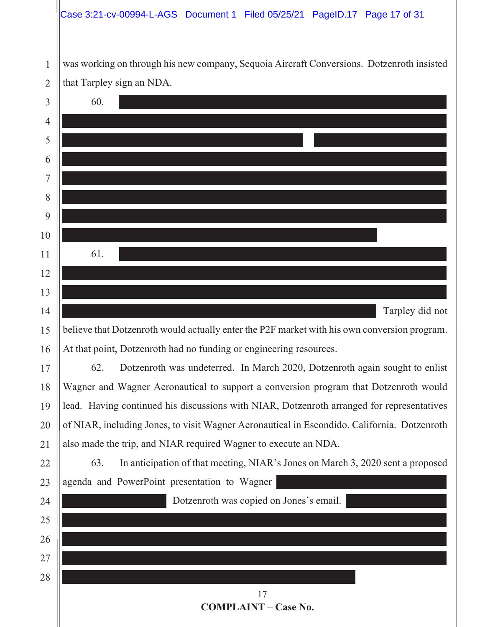#### Case 3:21-cv-00994-L-AGS Document 1 Filed 05/25/21 PageID.17 Page 17 of 31

was working on through his new company, Sequoia Aircraft Conversions. Dotzenroth insisted that Tarpley sign an NDA.

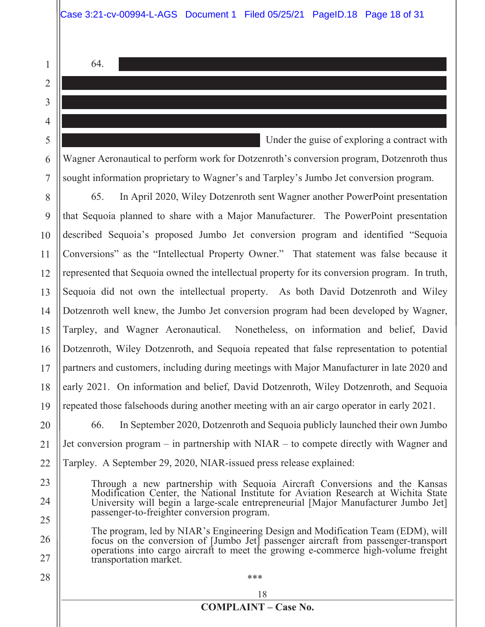64.

1

2

3

4

5

6

7

23

24

25

26

27

28

 Under the guise of exploring a contract with Wagner Aeronautical to perform work for Dotzenroth's conversion program, Dotzenroth thus sought information proprietary to Wagner's and Tarpley's Jumbo Jet conversion program.

8 9 10 11 12 13 14 15 16 17 18 19 65. In April 2020, Wiley Dotzenroth sent Wagner another PowerPoint presentation that Sequoia planned to share with a Major Manufacturer. The PowerPoint presentation described Sequoia's proposed Jumbo Jet conversion program and identified "Sequoia Conversions" as the "Intellectual Property Owner." That statement was false because it represented that Sequoia owned the intellectual property for its conversion program. In truth, Sequoia did not own the intellectual property. As both David Dotzenroth and Wiley Dotzenroth well knew, the Jumbo Jet conversion program had been developed by Wagner, Tarpley, and Wagner Aeronautical. Nonetheless, on information and belief, David Dotzenroth, Wiley Dotzenroth, and Sequoia repeated that false representation to potential partners and customers, including during meetings with Major Manufacturer in late 2020 and early 2021. On information and belief, David Dotzenroth, Wiley Dotzenroth, and Sequoia repeated those falsehoods during another meeting with an air cargo operator in early 2021.

20 21 22 66. In September 2020, Dotzenroth and Sequoia publicly launched their own Jumbo Jet conversion program – in partnership with NIAR – to compete directly with Wagner and Tarpley. A September 29, 2020, NIAR-issued press release explained:

- Through a new partnership with Sequoia Aircraft Conversions and the Kansas Modification Center, the National Institute for Aviation Research at Wichita State University will begin a large-scale entrepreneurial [Major Manufacturer Jumbo Jet] passenger-to-freighter conversion program.
- The program, led by NIAR's Engineering Design and Modification Team (EDM), will focus on the conversion of [Jumbo Jet] passenger aircraft from passenger-transport operations into cargo aircraft to meet the growing e-commerce high-volume freight transportation market.

\*\*\*

#### **COMPLAINT – Case No.**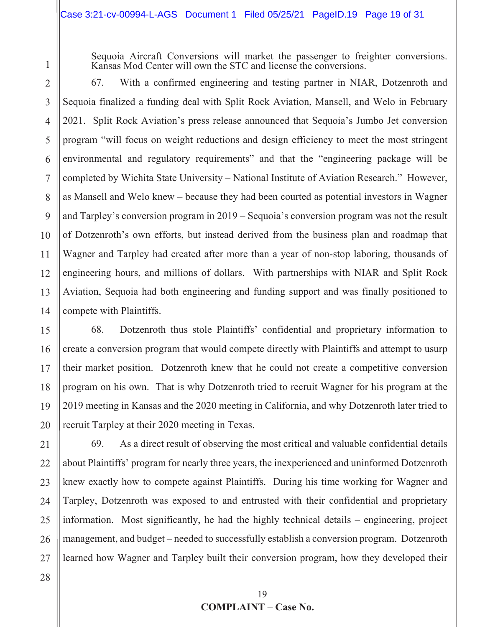Sequoia Aircraft Conversions will market the passenger to freighter conversions. Kansas Mod Center will own the STC and license the conversions.

2 3 4 5 6 7 8 9 10 11 12 13 14 67. With a confirmed engineering and testing partner in NIAR, Dotzenroth and Sequoia finalized a funding deal with Split Rock Aviation, Mansell, and Welo in February 2021. Split Rock Aviation's press release announced that Sequoia's Jumbo Jet conversion program "will focus on weight reductions and design efficiency to meet the most stringent environmental and regulatory requirements" and that the "engineering package will be completed by Wichita State University – National Institute of Aviation Research." However, as Mansell and Welo knew – because they had been courted as potential investors in Wagner and Tarpley's conversion program in 2019 – Sequoia's conversion program was not the result of Dotzenroth's own efforts, but instead derived from the business plan and roadmap that Wagner and Tarpley had created after more than a year of non-stop laboring, thousands of engineering hours, and millions of dollars. With partnerships with NIAR and Split Rock Aviation, Sequoia had both engineering and funding support and was finally positioned to compete with Plaintiffs.

15 16 17 18 19 20 68. Dotzenroth thus stole Plaintiffs' confidential and proprietary information to create a conversion program that would compete directly with Plaintiffs and attempt to usurp their market position. Dotzenroth knew that he could not create a competitive conversion program on his own. That is why Dotzenroth tried to recruit Wagner for his program at the 2019 meeting in Kansas and the 2020 meeting in California, and why Dotzenroth later tried to recruit Tarpley at their 2020 meeting in Texas.

21 22 23 24 25 26 69. As a direct result of observing the most critical and valuable confidential details about Plaintiffs' program for nearly three years, the inexperienced and uninformed Dotzenroth knew exactly how to compete against Plaintiffs. During his time working for Wagner and Tarpley, Dotzenroth was exposed to and entrusted with their confidential and proprietary information. Most significantly, he had the highly technical details – engineering, project management, and budget – needed to successfully establish a conversion program. Dotzenroth learned how Wagner and Tarpley built their conversion program, how they developed their

1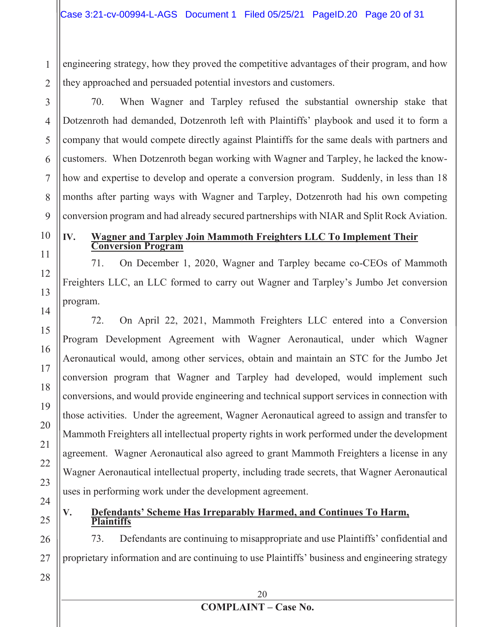engineering strategy, how they proved the competitive advantages of their program, and how they approached and persuaded potential investors and customers.

2 3

1

4

5

6

7

8

9

11

12

13

14

15

16

17

18

19

20

21

22

23

24

25

70. When Wagner and Tarpley refused the substantial ownership stake that Dotzenroth had demanded, Dotzenroth left with Plaintiffs' playbook and used it to form a company that would compete directly against Plaintiffs for the same deals with partners and customers. When Dotzenroth began working with Wagner and Tarpley, he lacked the knowhow and expertise to develop and operate a conversion program. Suddenly, in less than 18 months after parting ways with Wagner and Tarpley, Dotzenroth had his own competing conversion program and had already secured partnerships with NIAR and Split Rock Aviation.

10

#### **IV. Wagner and Tarpley Join Mammoth Freighters LLC To Implement Their Conversion Program**

71. On December 1, 2020, Wagner and Tarpley became co-CEOs of Mammoth Freighters LLC, an LLC formed to carry out Wagner and Tarpley's Jumbo Jet conversion program.

72. On April 22, 2021, Mammoth Freighters LLC entered into a Conversion Program Development Agreement with Wagner Aeronautical, under which Wagner Aeronautical would, among other services, obtain and maintain an STC for the Jumbo Jet conversion program that Wagner and Tarpley had developed, would implement such conversions, and would provide engineering and technical support services in connection with those activities. Under the agreement, Wagner Aeronautical agreed to assign and transfer to Mammoth Freighters all intellectual property rights in work performed under the development agreement. Wagner Aeronautical also agreed to grant Mammoth Freighters a license in any Wagner Aeronautical intellectual property, including trade secrets, that Wagner Aeronautical uses in performing work under the development agreement.

### **V. Defendants' Scheme Has Irreparably Harmed, and Continues To Harm, Plaintiffs**

26 27 73. Defendants are continuing to misappropriate and use Plaintiffs' confidential and proprietary information and are continuing to use Plaintiffs' business and engineering strategy

28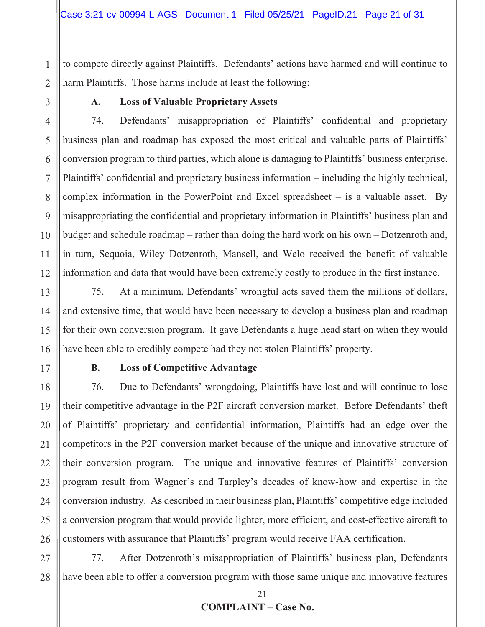to compete directly against Plaintiffs. Defendants' actions have harmed and will continue to harm Plaintiffs. Those harms include at least the following:

1

2

3

4

5

6

7

8

9

10

11

12

#### **A. Loss of Valuable Proprietary Assets**

74. Defendants' misappropriation of Plaintiffs' confidential and proprietary business plan and roadmap has exposed the most critical and valuable parts of Plaintiffs' conversion program to third parties, which alone is damaging to Plaintiffs' business enterprise. Plaintiffs' confidential and proprietary business information – including the highly technical, complex information in the PowerPoint and Excel spreadsheet – is a valuable asset. By misappropriating the confidential and proprietary information in Plaintiffs' business plan and budget and schedule roadmap – rather than doing the hard work on his own – Dotzenroth and, in turn, Sequoia, Wiley Dotzenroth, Mansell, and Welo received the benefit of valuable information and data that would have been extremely costly to produce in the first instance.

13 14 15 16 75. At a minimum, Defendants' wrongful acts saved them the millions of dollars, and extensive time, that would have been necessary to develop a business plan and roadmap for their own conversion program. It gave Defendants a huge head start on when they would have been able to credibly compete had they not stolen Plaintiffs' property.

17

#### **B. Loss of Competitive Advantage**

18 19 20 21 22 23 24 25 26 76. Due to Defendants' wrongdoing, Plaintiffs have lost and will continue to lose their competitive advantage in the P2F aircraft conversion market. Before Defendants' theft of Plaintiffs' proprietary and confidential information, Plaintiffs had an edge over the competitors in the P2F conversion market because of the unique and innovative structure of their conversion program. The unique and innovative features of Plaintiffs' conversion program result from Wagner's and Tarpley's decades of know-how and expertise in the conversion industry. As described in their business plan, Plaintiffs' competitive edge included a conversion program that would provide lighter, more efficient, and cost-effective aircraft to customers with assurance that Plaintiffs' program would receive FAA certification.

27 28 77. After Dotzenroth's misappropriation of Plaintiffs' business plan, Defendants have been able to offer a conversion program with those same unique and innovative features

21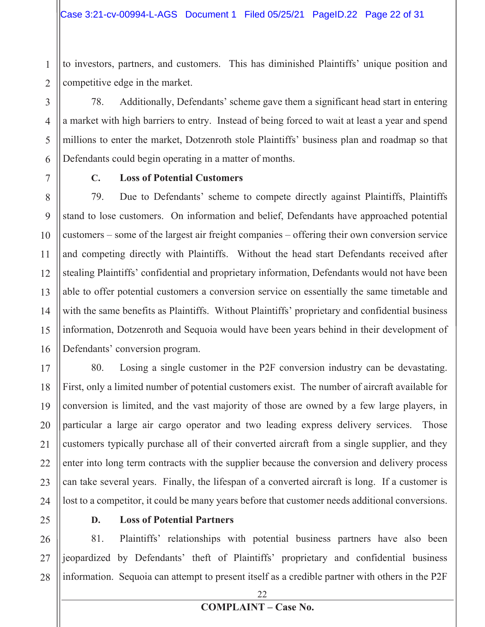to investors, partners, and customers. This has diminished Plaintiffs' unique position and competitive edge in the market.

78. Additionally, Defendants' scheme gave them a significant head start in entering a market with high barriers to entry. Instead of being forced to wait at least a year and spend millions to enter the market, Dotzenroth stole Plaintiffs' business plan and roadmap so that Defendants could begin operating in a matter of months.

1

2

3

4

5

6

7

#### **C. Loss of Potential Customers**

8 9 10 11 12 13 14 15 16 79. Due to Defendants' scheme to compete directly against Plaintiffs, Plaintiffs stand to lose customers. On information and belief, Defendants have approached potential customers – some of the largest air freight companies – offering their own conversion service and competing directly with Plaintiffs. Without the head start Defendants received after stealing Plaintiffs' confidential and proprietary information, Defendants would not have been able to offer potential customers a conversion service on essentially the same timetable and with the same benefits as Plaintiffs. Without Plaintiffs' proprietary and confidential business information, Dotzenroth and Sequoia would have been years behind in their development of Defendants' conversion program.

17 18 19 20 21 22 23 24 80. Losing a single customer in the P2F conversion industry can be devastating. First, only a limited number of potential customers exist. The number of aircraft available for conversion is limited, and the vast majority of those are owned by a few large players, in particular a large air cargo operator and two leading express delivery services. Those customers typically purchase all of their converted aircraft from a single supplier, and they enter into long term contracts with the supplier because the conversion and delivery process can take several years. Finally, the lifespan of a converted aircraft is long. If a customer is lost to a competitor, it could be many years before that customer needs additional conversions.

25

#### **D. Loss of Potential Partners**

26 27 28 81. Plaintiffs' relationships with potential business partners have also been jeopardized by Defendants' theft of Plaintiffs' proprietary and confidential business information. Sequoia can attempt to present itself as a credible partner with others in the P2F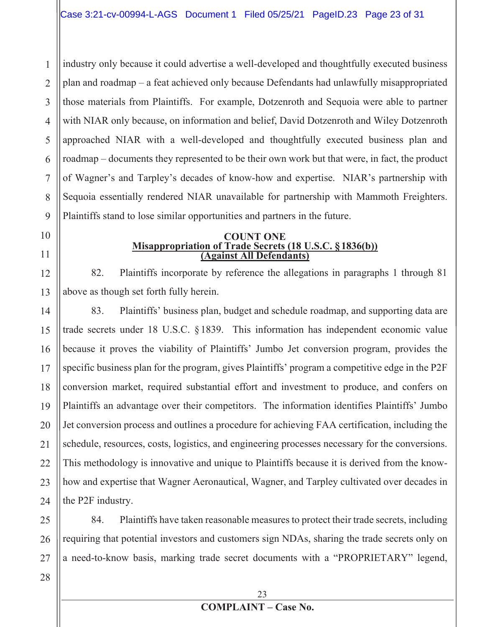1 2 3 4 5 6 7 8 9 industry only because it could advertise a well-developed and thoughtfully executed business plan and roadmap – a feat achieved only because Defendants had unlawfully misappropriated those materials from Plaintiffs. For example, Dotzenroth and Sequoia were able to partner with NIAR only because, on information and belief, David Dotzenroth and Wiley Dotzenroth approached NIAR with a well-developed and thoughtfully executed business plan and roadmap – documents they represented to be their own work but that were, in fact, the product of Wagner's and Tarpley's decades of know-how and expertise. NIAR's partnership with Sequoia essentially rendered NIAR unavailable for partnership with Mammoth Freighters. Plaintiffs stand to lose similar opportunities and partners in the future.

# 10

12

13

11

#### **COUNT ONE Misappropriation of Trade Secrets (18 U.S.C. §1836(b)) (Against All Defendants)**

82. Plaintiffs incorporate by reference the allegations in paragraphs 1 through 81 above as though set forth fully herein.

14 15 16 17 18 19 20 21 22 23 24 83. Plaintiffs' business plan, budget and schedule roadmap, and supporting data are trade secrets under 18 U.S.C. §1839. This information has independent economic value because it proves the viability of Plaintiffs' Jumbo Jet conversion program, provides the specific business plan for the program, gives Plaintiffs' program a competitive edge in the P2F conversion market, required substantial effort and investment to produce, and confers on Plaintiffs an advantage over their competitors. The information identifies Plaintiffs' Jumbo Jet conversion process and outlines a procedure for achieving FAA certification, including the schedule, resources, costs, logistics, and engineering processes necessary for the conversions. This methodology is innovative and unique to Plaintiffs because it is derived from the knowhow and expertise that Wagner Aeronautical, Wagner, and Tarpley cultivated over decades in the P2F industry.

25 26 27 84. Plaintiffs have taken reasonable measures to protect their trade secrets, including requiring that potential investors and customers sign NDAs, sharing the trade secrets only on a need-to-know basis, marking trade secret documents with a "PROPRIETARY" legend,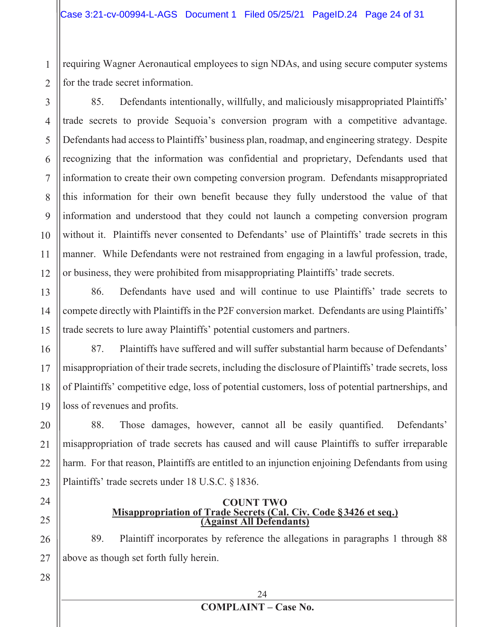requiring Wagner Aeronautical employees to sign NDAs, and using secure computer systems for the trade secret information.

4 6 7 8 9 10 12 85. Defendants intentionally, willfully, and maliciously misappropriated Plaintiffs' trade secrets to provide Sequoia's conversion program with a competitive advantage. Defendants had access to Plaintiffs' business plan, roadmap, and engineering strategy. Despite recognizing that the information was confidential and proprietary, Defendants used that information to create their own competing conversion program. Defendants misappropriated this information for their own benefit because they fully understood the value of that information and understood that they could not launch a competing conversion program without it. Plaintiffs never consented to Defendants' use of Plaintiffs' trade secrets in this manner. While Defendants were not restrained from engaging in a lawful profession, trade, or business, they were prohibited from misappropriating Plaintiffs' trade secrets.

13 14 15 86. Defendants have used and will continue to use Plaintiffs' trade secrets to compete directly with Plaintiffs in the P2F conversion market. Defendants are using Plaintiffs' trade secrets to lure away Plaintiffs' potential customers and partners.

16 17 18 19 87. Plaintiffs have suffered and will suffer substantial harm because of Defendants' misappropriation of their trade secrets, including the disclosure of Plaintiffs' trade secrets, loss of Plaintiffs' competitive edge, loss of potential customers, loss of potential partnerships, and loss of revenues and profits.

20 21 22 88. Those damages, however, cannot all be easily quantified. Defendants' misappropriation of trade secrets has caused and will cause Plaintiffs to suffer irreparable harm. For that reason, Plaintiffs are entitled to an injunction enjoining Defendants from using Plaintiffs' trade secrets under 18 U.S.C. §1836.

24

1

2

3

5

11

**COUNT TWO Misappropriation of Trade Secrets (Cal. Civ. Code §3426 et seq.) (Against All Defendants)** 

89. Plaintiff incorporates by reference the allegations in paragraphs 1 through 88 above as though set forth fully herein.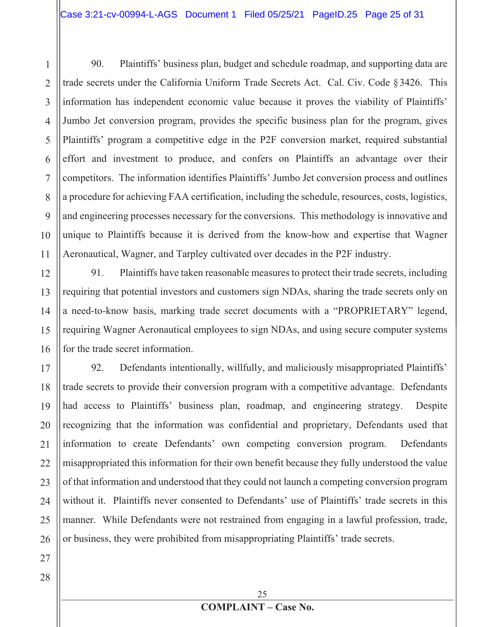1 2 3 4 5 6 7 8 9 10 11 90. Plaintiffs' business plan, budget and schedule roadmap, and supporting data are trade secrets under the California Uniform Trade Secrets Act. Cal. Civ. Code §3426. This information has independent economic value because it proves the viability of Plaintiffs' Jumbo Jet conversion program, provides the specific business plan for the program, gives Plaintiffs' program a competitive edge in the P2F conversion market, required substantial effort and investment to produce, and confers on Plaintiffs an advantage over their competitors. The information identifies Plaintiffs' Jumbo Jet conversion process and outlines a procedure for achieving FAA certification, including the schedule, resources, costs, logistics, and engineering processes necessary for the conversions. This methodology is innovative and unique to Plaintiffs because it is derived from the know-how and expertise that Wagner Aeronautical, Wagner, and Tarpley cultivated over decades in the P2F industry.

12 13 14 15 16 91. Plaintiffs have taken reasonable measures to protect their trade secrets, including requiring that potential investors and customers sign NDAs, sharing the trade secrets only on a need-to-know basis, marking trade secret documents with a "PROPRIETARY" legend, requiring Wagner Aeronautical employees to sign NDAs, and using secure computer systems for the trade secret information.

17 18 19 20 21 22 23 24 25 26 92. Defendants intentionally, willfully, and maliciously misappropriated Plaintiffs' trade secrets to provide their conversion program with a competitive advantage. Defendants had access to Plaintiffs' business plan, roadmap, and engineering strategy. Despite recognizing that the information was confidential and proprietary, Defendants used that information to create Defendants' own competing conversion program. Defendants misappropriated this information for their own benefit because they fully understood the value of that information and understood that they could not launch a competing conversion program without it. Plaintiffs never consented to Defendants' use of Plaintiffs' trade secrets in this manner. While Defendants were not restrained from engaging in a lawful profession, trade, or business, they were prohibited from misappropriating Plaintiffs' trade secrets.

28

27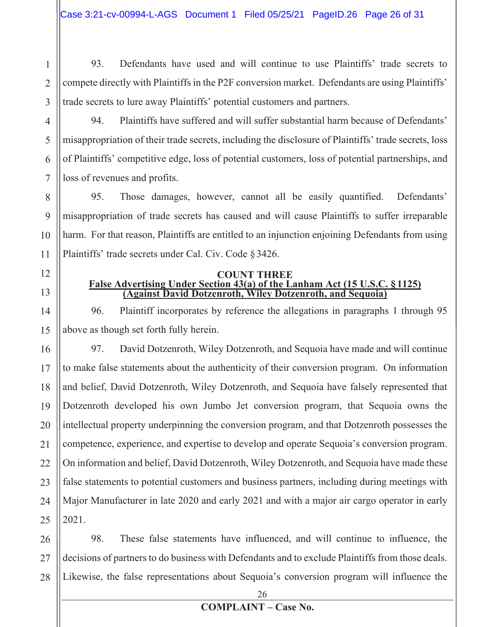93. Defendants have used and will continue to use Plaintiffs' trade secrets to compete directly with Plaintiffs in the P2F conversion market. Defendants are using Plaintiffs' trade secrets to lure away Plaintiffs' potential customers and partners.

94. Plaintiffs have suffered and will suffer substantial harm because of Defendants' misappropriation of their trade secrets, including the disclosure of Plaintiffs' trade secrets, loss of Plaintiffs' competitive edge, loss of potential customers, loss of potential partnerships, and loss of revenues and profits.

9 10 95. Those damages, however, cannot all be easily quantified. Defendants' misappropriation of trade secrets has caused and will cause Plaintiffs to suffer irreparable harm. For that reason, Plaintiffs are entitled to an injunction enjoining Defendants from using Plaintiffs' trade secrets under Cal. Civ. Code §3426.

12

11

1

2

3

4

5

6

7

8

# 13

#### **COUNT THREE False Advertising Under Section 43(a) of the Lanham Act (15 U.S.C. §1125) (Against David Dotzenroth, Wiley Dotzenroth, and Sequoia)**

14 15 96. Plaintiff incorporates by reference the allegations in paragraphs 1 through 95 above as though set forth fully herein.

16 17 18 19 20 21 22 23 24 25 97. David Dotzenroth, Wiley Dotzenroth, and Sequoia have made and will continue to make false statements about the authenticity of their conversion program. On information and belief, David Dotzenroth, Wiley Dotzenroth, and Sequoia have falsely represented that Dotzenroth developed his own Jumbo Jet conversion program, that Sequoia owns the intellectual property underpinning the conversion program, and that Dotzenroth possesses the competence, experience, and expertise to develop and operate Sequoia's conversion program. On information and belief, David Dotzenroth, Wiley Dotzenroth, and Sequoia have made these false statements to potential customers and business partners, including during meetings with Major Manufacturer in late 2020 and early 2021 and with a major air cargo operator in early 2021.

26 27 28 98. These false statements have influenced, and will continue to influence, the decisions of partners to do business with Defendants and to exclude Plaintiffs from those deals. Likewise, the false representations about Sequoia's conversion program will influence the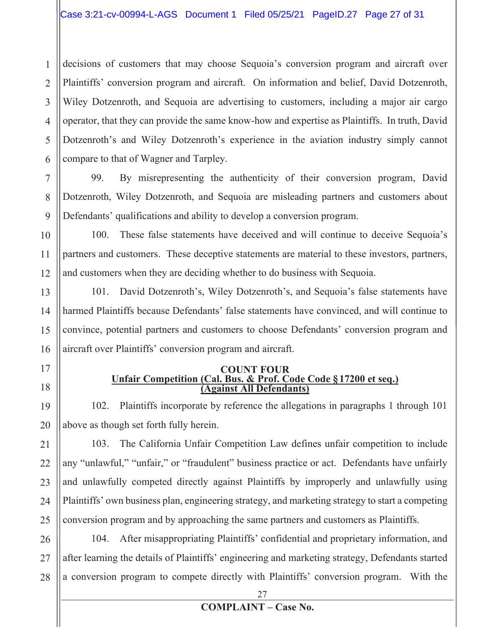2 3 4 5 6 decisions of customers that may choose Sequoia's conversion program and aircraft over Plaintiffs' conversion program and aircraft. On information and belief, David Dotzenroth, Wiley Dotzenroth, and Sequoia are advertising to customers, including a major air cargo operator, that they can provide the same know-how and expertise as Plaintiffs. In truth, David Dotzenroth's and Wiley Dotzenroth's experience in the aviation industry simply cannot compare to that of Wagner and Tarpley.

99. By misrepresenting the authenticity of their conversion program, David Dotzenroth, Wiley Dotzenroth, and Sequoia are misleading partners and customers about Defendants' qualifications and ability to develop a conversion program.

10 11 12 100. These false statements have deceived and will continue to deceive Sequoia's partners and customers. These deceptive statements are material to these investors, partners, and customers when they are deciding whether to do business with Sequoia.

13 14 15 16 101. David Dotzenroth's, Wiley Dotzenroth's, and Sequoia's false statements have harmed Plaintiffs because Defendants' false statements have convinced, and will continue to convince, potential partners and customers to choose Defendants' conversion program and aircraft over Plaintiffs' conversion program and aircraft.

17

18

19

20

1

7

8

9

#### **COUNT FOUR Unfair Competition (Cal. Bus. & Prof. Code Code §17200 et seq.) (Against All Defendants)**

102. Plaintiffs incorporate by reference the allegations in paragraphs 1 through 101 above as though set forth fully herein.

21 22 23 24 25 103. The California Unfair Competition Law defines unfair competition to include any "unlawful," "unfair," or "fraudulent" business practice or act. Defendants have unfairly and unlawfully competed directly against Plaintiffs by improperly and unlawfully using Plaintiffs' own business plan, engineering strategy, and marketing strategy to start a competing conversion program and by approaching the same partners and customers as Plaintiffs.

26 27 28 104. After misappropriating Plaintiffs' confidential and proprietary information, and after learning the details of Plaintiffs' engineering and marketing strategy, Defendants started a conversion program to compete directly with Plaintiffs' conversion program. With the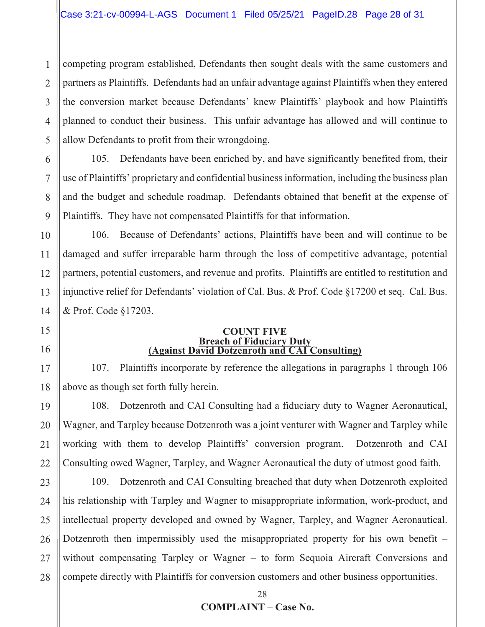2 3 4 5 competing program established, Defendants then sought deals with the same customers and partners as Plaintiffs. Defendants had an unfair advantage against Plaintiffs when they entered the conversion market because Defendants' knew Plaintiffs' playbook and how Plaintiffs planned to conduct their business. This unfair advantage has allowed and will continue to allow Defendants to profit from their wrongdoing.

7 8

1

6

9

15

16

17

18

105. Defendants have been enriched by, and have significantly benefited from, their use of Plaintiffs' proprietary and confidential business information, including the business plan and the budget and schedule roadmap. Defendants obtained that benefit at the expense of Plaintiffs. They have not compensated Plaintiffs for that information.

10 11 12 13 14 106. Because of Defendants' actions, Plaintiffs have been and will continue to be damaged and suffer irreparable harm through the loss of competitive advantage, potential partners, potential customers, and revenue and profits. Plaintiffs are entitled to restitution and injunctive relief for Defendants' violation of Cal. Bus. & Prof. Code §17200 et seq. Cal. Bus. & Prof. Code §17203.

#### **COUNT FIVE Breach of Fiduciary Duty (Against David Dotzenroth and CAI Consulting)**

107. Plaintiffs incorporate by reference the allegations in paragraphs 1 through 106 above as though set forth fully herein.

19 20 21 22 108. Dotzenroth and CAI Consulting had a fiduciary duty to Wagner Aeronautical, Wagner, and Tarpley because Dotzenroth was a joint venturer with Wagner and Tarpley while working with them to develop Plaintiffs' conversion program. Dotzenroth and CAI Consulting owed Wagner, Tarpley, and Wagner Aeronautical the duty of utmost good faith.

23 24 25 26 27 28 109. Dotzenroth and CAI Consulting breached that duty when Dotzenroth exploited his relationship with Tarpley and Wagner to misappropriate information, work-product, and intellectual property developed and owned by Wagner, Tarpley, and Wagner Aeronautical. Dotzenroth then impermissibly used the misappropriated property for his own benefit – without compensating Tarpley or Wagner – to form Sequoia Aircraft Conversions and compete directly with Plaintiffs for conversion customers and other business opportunities.

28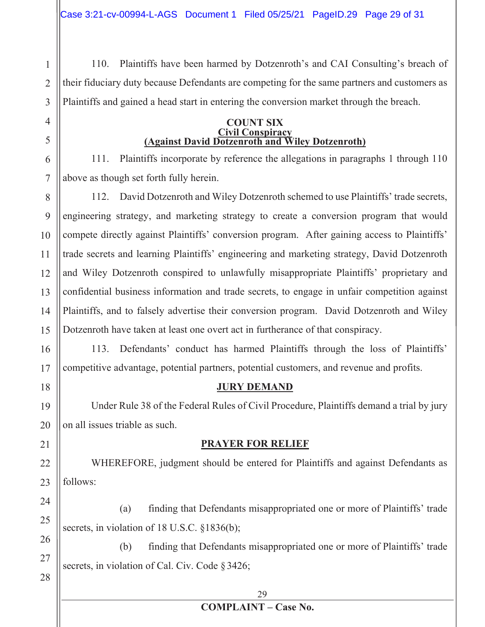110. Plaintiffs have been harmed by Dotzenroth's and CAI Consulting's breach of their fiduciary duty because Defendants are competing for the same partners and customers as Plaintiffs and gained a head start in entering the conversion market through the breach.

#### **COUNT SIX Civil Conspiracy (Against David Dotzenroth and Wiley Dotzenroth)**

111. Plaintiffs incorporate by reference the allegations in paragraphs 1 through 110 above as though set forth fully herein.

112. David Dotzenroth and Wiley Dotzenroth schemed to use Plaintiffs' trade secrets, engineering strategy, and marketing strategy to create a conversion program that would compete directly against Plaintiffs' conversion program. After gaining access to Plaintiffs' trade secrets and learning Plaintiffs' engineering and marketing strategy, David Dotzenroth and Wiley Dotzenroth conspired to unlawfully misappropriate Plaintiffs' proprietary and confidential business information and trade secrets, to engage in unfair competition against Plaintiffs, and to falsely advertise their conversion program. David Dotzenroth and Wiley Dotzenroth have taken at least one overt act in furtherance of that conspiracy.

113. Defendants' conduct has harmed Plaintiffs through the loss of Plaintiffs' competitive advantage, potential partners, potential customers, and revenue and profits.

# **JURY DEMAND**

Under Rule 38 of the Federal Rules of Civil Procedure, Plaintiffs demand a trial by jury on all issues triable as such.

### **PRAYER FOR RELIEF**

 WHEREFORE, judgment should be entered for Plaintiffs and against Defendants as follows:

(a) finding that Defendants misappropriated one or more of Plaintiffs' trade secrets, in violation of 18 U.S.C. §1836(b);

(b) finding that Defendants misappropriated one or more of Plaintiffs' trade secrets, in violation of Cal. Civ. Code §3426;

#### 29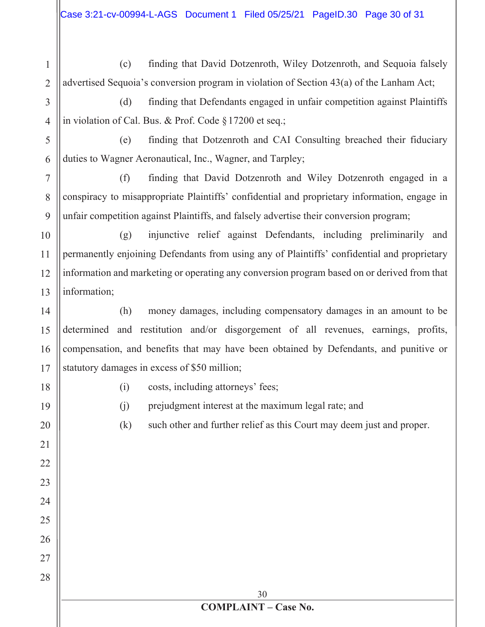1 2 (c) finding that David Dotzenroth, Wiley Dotzenroth, and Sequoia falsely advertised Sequoia's conversion program in violation of Section 43(a) of the Lanham Act;

3 4 (d) finding that Defendants engaged in unfair competition against Plaintiffs in violation of Cal. Bus. & Prof. Code §17200 et seq.;

5 6 (e) finding that Dotzenroth and CAI Consulting breached their fiduciary duties to Wagner Aeronautical, Inc., Wagner, and Tarpley;

7 8 9 (f) finding that David Dotzenroth and Wiley Dotzenroth engaged in a conspiracy to misappropriate Plaintiffs' confidential and proprietary information, engage in unfair competition against Plaintiffs, and falsely advertise their conversion program;

10 11 12 13 (g) injunctive relief against Defendants, including preliminarily and permanently enjoining Defendants from using any of Plaintiffs' confidential and proprietary information and marketing or operating any conversion program based on or derived from that information;

14 15 16 17 (h) money damages, including compensatory damages in an amount to be determined and restitution and/or disgorgement of all revenues, earnings, profits, compensation, and benefits that may have been obtained by Defendants, and punitive or statutory damages in excess of \$50 million;

18 19 (i) costs, including attorneys' fees;

- (j) prejudgment interest at the maximum legal rate; and
- 20

21

22

23

24

25

26

27

28

(k) such other and further relief as this Court may deem just and proper.

30